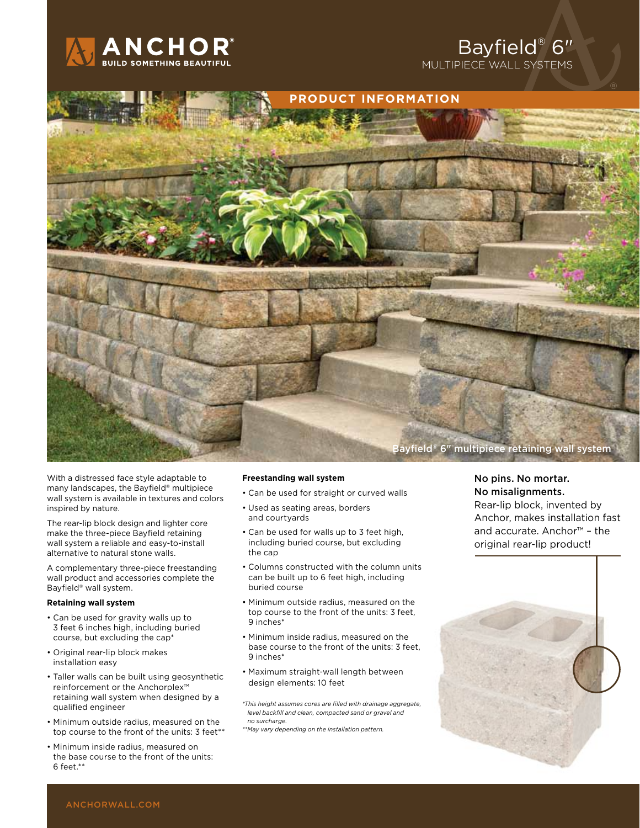

## Bayfield® 6" multipiece wall systems



With a distressed face style adaptable to many landscapes, the Bayfield® multipiece wall system is available in textures and colors inspired by nature.

The rear-lip block design and lighter core make the three-piece Bayfield retaining wall system a reliable and easy-to-install alternative to natural stone walls.

A complementary three-piece freestanding wall product and accessories complete the Bayfield® wall system.

#### **Retaining wall system**

- Can be used for gravity walls up to 3 feet 6 inches high, including buried course, but excluding the cap\*
- Original rear-lip block makes installation easy
- Taller walls can be built using geosynthetic reinforcement or the Anchorplex™ retaining wall system when designed by a qualified engineer
- Minimum outside radius, measured on the top course to the front of the units: 3 feet\*\*
- Minimum inside radius, measured on the base course to the front of the units: 6 feet.\*\*

#### **Freestanding wall system**

- Can be used for straight or curved walls
- Used as seating areas, borders and courtyards
- Can be used for walls up to 3 feet high, including buried course, but excluding the cap
- Columns constructed with the column units can be built up to 6 feet high, including buried course
- Minimum outside radius, measured on the top course to the front of the units: 3 feet, 9 inches\*
- Minimum inside radius, measured on the base course to the front of the units: 3 feet, 9 inches\*
- Maximum straight-wall length between design elements: 10 feet

*\*This height assumes cores are filled with drainage aggregate, level backfill and clean, compacted sand or gravel and no surcharge.*

*\*\*May vary depending on the installation pattern.*

### No pins. No mortar. No misalignments.

Rear-lip block, invented by Anchor, makes installation fast and accurate. Anchor™ – the original rear-lip product!